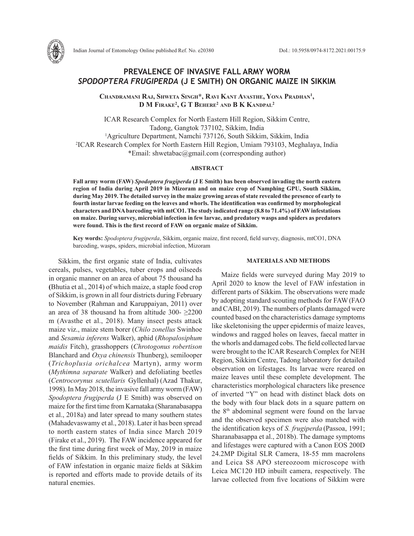

Indian Journal of Entomology Online published Ref. No. e20380 DoI.: 10.5958/0974-8172.2021.00175.9

# **PREVALENCE OF INVASIVE FALL ARMY WORM**  *SPODOPTERA FRUGIPERDA* **(J E SMITH) ON ORGANIC MAIZE IN SIKKIM**

**Chandramani Raj, Shweta Singh\*, Ravi Kant Avasthe, Yona Pradhan1 , D M Firake2 , G T Behere2 and B K Kandpal2**

ICAR Research Complex for North Eastern Hill Region, Sikkim Centre, Tadong, Gangtok 737102, Sikkim, India 1 Agriculture Department, Namchi 737126, South Sikkim, Sikkim, India 2 ICAR Research Complex for North Eastern Hill Region, Umiam 793103, Meghalaya, India \*Email: shwetabac@gmail.com (corresponding author)

## **ABSTRACT**

**Fall army worm (FAW)** *Spodoptera frugiperda* **(J E Smith) has been observed invading the north eastern region of India during April 2019 in Mizoram and on maize crop of Namphing GPU, South Sikkim, during May 2019. The detailed survey in the maize growing areas of state revealed the presence of early to fourth instar larvae feeding on the leaves and whorls. The identification was confirmed by morphological characters and DNA barcoding with mtCO1. The study indicated range (8.8 to 71.4%) of FAW infestations on maize. During survey, microbial infection in few larvae, and predatory wasps and spiders as predators were found. This is the first record of FAW on organic maize of Sikkim.** 

**Key words:** *Spodoptera frugiperda*, Sikkim, organic maize, first record, field survey, diagnosis, mtCO1, DNA barcoding, wasps, spiders, microbial infection, Mizoram

Sikkim, the first organic state of India, cultivates cereals, pulses, vegetables, tuber crops and oilseeds in organic manner on an area of about 75 thousand ha **(**Bhutia et al., 2014) of which maize, a staple food crop of Sikkim, is grown in all four districts during February to November (Rahman and Karuppaiyan, 2011) over an area of 38 thousand ha from altitude 300- $\geq$ 2200 m (Avasthe et al., 2018). Many insect pests attack maize viz., maize stem borer (*Chilo zonellus* Swinhoe and *Sesamia inferens* Walker), aphid (*Rhopalosiphum maidis* Fitch), grasshoppers (*Chrotogonus robertison* Blanchard and *Oxya chinensis* Thunberg), semilooper (*Trichoplusia orichalcea* Martyn), army worm (*Mythimna separate* Walker) and defoliating beetles (*Centrocorynus scutellaris* Gyllenhal) (Azad Thakur, 1998). In May 2018, the invasive fall army worm (FAW) *Spodoptera frugiperda* (J E Smith) was observed on maize for the first time from Karnataka (Sharanabasappa et al., 2018a) and later spread to many southern states (Mahadevaswamy et al., 2018). Later it has been spread to north eastern states of India since March 2019 (Firake et al., 2019). The FAW incidence appeared for the first time during first week of May, 2019 in maize fields of Sikkim. In this preliminary study, the level of FAW infestation in organic maize fields at Sikkim is reported and efforts made to provide details of its natural enemies.

#### **MATERIALS AND METHODS**

Maize fields were surveyed during May 2019 to April 2020 to know the level of FAW infestation in different parts of Sikkim. The observations were made by adopting standard scouting methods for FAW(FAO and CABI, 2019). The numbers of plants damaged were counted based on the characteristics damage symptoms like skeletonising the upper epidermis of maize leaves, windows and ragged holes on leaves, faecal matter in the whorls and damaged cobs. The field collected larvae were brought to the ICAR Research Complex for NEH Region, Sikkim Centre, Tadong laboratory for detailed observation on lifestages. Its larvae were reared on maize leaves until these complete development. The characteristics morphological characters like presence of inverted "Y" on head with distinct black dots on the body with four black dots in a square pattern on the 8th abdominal segment were found on the larvae and the observed specimen were also matched with the identification keys of *S. frugiperda* (Passoa, 1991; Sharanabasappa et al., 2018b). The damage symptoms and lifestages were captured with a Canon EOS 200D 24.2MP Digital SLR Camera, 18-55 mm macrolens and Leica S8 APO stereozoom microscope with Leica MC120 HD inbuilt camera, respectively. The larvae collected from five locations of Sikkim were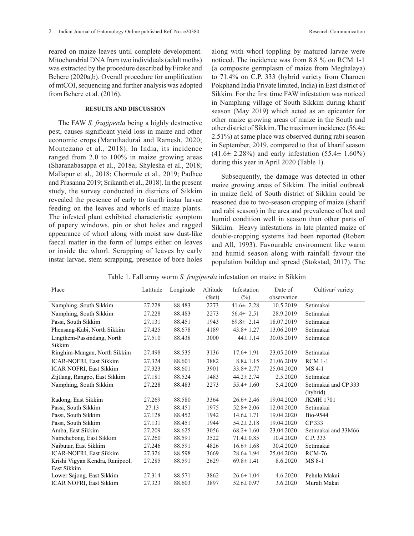reared on maize leaves until complete development. Mitochondrial DNA from two individuals (adult moths) was extracted by the procedure described by Firake and Behere (2020a,b). Overall procedure for amplification of mtCOI, sequencing and further analysis was adopted fromBehere et al. (2016).

## **RESULTS AND DISCUSSION**

The FAW *S. frugiperda* being a highly destructive pest, causes significant yield loss in maize and other economic crops (Maruthadurai and Ramesh, 2020; Montezano et al., 2018). In India, its incidence ranged from 2.0 to 100% in maize growing areas (Sharanabasappa et al., 2018a; Shylesha et al., 2018; Mallapur et al., 2018; Chormule et al., 2019; Padhee and Prasanna 2019; Srikanth et al., 2018). In the present study, the survey conducted in districts of Sikkim revealed the presence of early to fourth instar larvae feeding on the leaves and whorls of maize plants. The infested plant exhibited characteristic symptom of papery windows, pin or shot holes and ragged appearance of whorl along with moist saw dust-like faecal matter in the form of lumps either on leaves or inside the whorl. Scrapping of leaves by early instar larvae, stem scrapping, presence of bore holes along with whorl toppling by matured larvae were noticed. The incidence was from 8.8 % on RCM 1-1 (a composite germplasm of maize from Meghalaya) to 71.4% on C.P. 333 (hybrid variety from Charoen Pokphand India Private limited, India) in East district of Sikkim. For the first time FAW infestation was noticed in Namphing village of South Sikkim during kharif season (May 2019) which acted as an epicenter for other maize growing areas of maize in the South and other district of Sikkim. The maximum incidence (56.4± 2.51%) at same place was observed during rabi season in September, 2019, compared to that of kharif season  $(41.6 \pm 2.28\%)$  and early infestation  $(55.4 \pm 1.60\%)$ during this year in April 2020 (Table 1).

Subsequently, the damage was detected in other maize growing areas of Sikkim. The initial outbreak in maize field of South district of Sikkim could be reasoned due to two-season cropping of maize (kharif and rabi season) in the area and prevalence of hot and humid condition well in season than other parts of Sikkim. Heavy infestations in late planted maize of double-cropping systems had been reported **(**Robert and All, 1993). Favourable environment like warm and humid season along with rainfall favour the population buildup and spread (Stokstad, 2017). The

Table 1. Fall army worm *S. frugiperda* infestation on maize in Sikkim

| Place                                | Latitude | Longitude | Altitude | Infestation     | Date of     | Cultivar/variety     |
|--------------------------------------|----------|-----------|----------|-----------------|-------------|----------------------|
|                                      |          |           | (feet)   | $(\%)$          | observation |                      |
| Namphing, South Sikkim               | 27.228   | 88.483    | 2273     | $41.6 \pm 2.28$ | 10.5.2019   | Setimakai            |
| Namphing, South Sikkim               | 27.228   | 88.483    | 2273     | $56.4 \pm 2.51$ | 28.9.2019   | Setimakai            |
| Passi, South Sikkim                  | 27.131   | 88.451    | 1943     | $69.8 \pm 2.14$ | 18.07.2019  | Setimakai            |
| Phensang-Kabi, North Sikkim          | 27.425   | 88.678    | 4189     | $43.8 \pm 1.27$ | 13.06.2019  | Setimakai            |
| Lingthem-Passindang, North<br>Sikkim | 27.510   | 88.438    | 3000     | $44 \pm 1.14$   | 30.05.2019  | Setimakai            |
| Ringhim-Mangan, North Sikkim         | 27.498   | 88.535    | 3136     | $17.6 \pm 1.91$ | 23.05.2019  | Setimakai            |
| ICAR-NOFRI, East Sikkim              | 27.324   | 88.601    | 3882     | $8.8 \pm 1.15$  | 21.06.2019  | <b>RCM 1-1</b>       |
| <b>ICAR NOFRI, East Sikkim</b>       | 27.323   | 88.601    | 3901     | $33.8 \pm 2.77$ | 25.04.2020  | MS 4-1               |
| Zijtlang, Rangpo, East Sikkim        | 27.181   | 88.524    | 1483     | $44.2 \pm 2.74$ | 2.5.2020    | Setimakai            |
| Namphing, South Sikkim               | 27.228   | 88.483    | 2273     | $55.4 \pm 1.60$ | 5.4.2020    | Setimakai and CP 333 |
|                                      |          |           |          |                 |             | (hybrid)             |
| Radong, East Sikkim                  | 27.269   | 88.580    | 3364     | $26.6 \pm 2.46$ | 19.04.2020  | <b>JKMH 1701</b>     |
| Passi, South Sikkim                  | 27.13    | 88.451    | 1975     | $52.8 \pm 2.06$ | 12.04.2020  | Setimakai            |
| Passi, South Sikkim                  | 27.128   | 88.452    | 1942     | $14.6 \pm 1.71$ | 19.04.2020  | Bio-9544             |
| Passi, South Sikkim                  | 27.131   | 88.451    | 1944     | $54.2 \pm 2.18$ | 19.04.2020  | CP 333               |
| Amba, East Sikkim                    | 27.209   | 88.625    | 3056     | $68.2 \pm 1.60$ | 23.04.2020  | Setimakai and 33M66  |
| Namchebong, East Sikkim              | 27.260   | 88.591    | 3522     | $71.4 \pm 0.85$ | 10.4.2020   | C.P. 333             |
| Naibutar, East Sikkim                | 27.246   | 88.591    | 4826     | $16.6 \pm 1.68$ | 30.4.2020   | Setimakai            |
| ICAR-NOFRI, East Sikkim              | 27.326   | 88.598    | 3669     | $28.6 \pm 1.94$ | 25.04.2020  | <b>RCM-76</b>        |
| Krishi Vigyan Kendra, Ranipool,      | 27.285   | 88.591    | 2629     | $69.8 \pm 1.41$ | 8.6.2020    | MS 8-1               |
| East Sikkim                          |          |           |          |                 |             |                      |
| Lower Sajong, East Sikkim            | 27.314   | 88.571    | 3862     | $26.6 \pm 1.04$ | 4.6.2020    | Pehnlo Makai         |
| <b>ICAR NOFRI, East Sikkim</b>       | 27.323   | 88.603    | 3897     | $52.6 \pm 0.97$ | 3.6.2020    | Murali Makai         |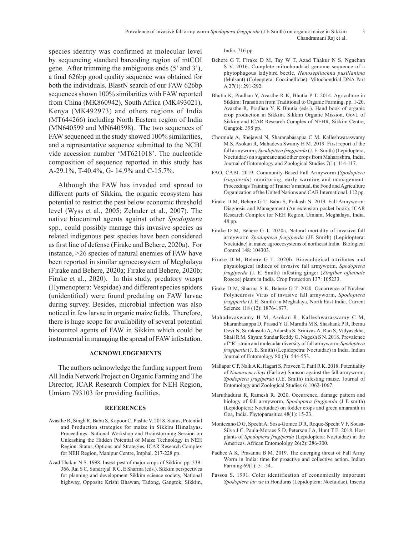species identity was confirmed at molecular level by sequencing standard barcoding region of mtCOI gene. After trimming the ambiguous ends (5' and 3'), a final 626bp good quality sequence was obtained for both the individuals. BlastN search of our FAW 626bp sequences shown 100% similarities with FAW reported from China (MK860942), South Africa (MK493021), Kenya (MK492973) and others regions of India (MT644266) including North Eastern region of India (MN640599 and MN640598). The two sequences of FAW sequenced in the study showed 100% similarities, and a representative sequence submitted to the NCBI vide accession number 'MT621018'. The nucleotide composition of sequence reported in this study has A-29.1%, T-40.4%, G- 14.9% and C-15.7%.

Although the FAW has invaded and spread to different parts of Sikkim, the organic ecosystem has potential to restrict the pest below economic threshold level (Wyss et al., 2005; Zehnder et al., 2007). The native biocontrol agents against other *Spodoptera* spp., could possibly manage this invasive species as related indigenous pest species have been considered as first line of defense (Firake and Behere, 2020a). For instance, >26 species of natural enemies of FAW have been reported in similar agroecosystem of Meghalaya (Firake and Behere, 2020a; Firake and Behere, 2020b; Firake et al., 2020). In this study, predatory wasps (Hymenoptera: Vespidae) and different species spiders (unidentified) were found predating on FAW larvae during survey. Besides, microbial infection was also noticed in few larvae in organic maize fields. Therefore, there is huge scope for availability of several potential biocontrol agents of FAW in Sikkim which could be instrumental in managing the spread of FAW infestation.

### **ACKNOWLEDGEMENTS**

The authors acknowledge the funding support from All India Network Project on Organic Farming and The Director, ICAR Research Complex for NEH Region, Umiam 793103 for providing facilities.

#### **REFERENCES**

- Avasthe R, Singh R, Babu S, Kapoor C, Pashte V. 2018. Status, Potential and Production strategies for maize in Sikkim Himalayas. Proceedings. National Workshop and Brainstorming Session on Unleashing the Hidden Potential of Maize Technology in NEH Region: Status, Options and Strategies, ICAR Research Complex for NEH Region, Manipur Centre, Imphal. 217-228 pp.
- Azad Thakur N S. 1998. Insect pest of major crops of Sikkim. pp. 339- 366. Rai S C, Sundriyal R C, E Sharma (eds.). Sikkim perspectives for planning and development Sikkim science society, National highway, Opposite Krishi Bhawan, Tadong, Gangtok, Sikkim,

India. 716 pp.

- Behere G T, Firake D M, Tay W T, Azad Thakur N S, Ngachan S V. 2016. Complete mitochondrial genome sequence of a phytophagous ladybird beetle, *Henosepilachna pusillanima* (Mulsant) (Coleoptera: Coccinellidae). Mitochondrial DNA Part A 27(1): 291-292.
- Bhutia K, Pradhan Y, Avasthe R K, Bhutia P T. 2014. Agriculture in Sikkim: Transition from Traditional to Organic Farming. pp. 1-20. Avasthe R, Pradhan Y, K Bhutia (eds.). Hand book of organic crop production in Sikkim. Sikkim Organic Mission, Govt. of Sikkim and ICAR Research Complex of NEHR, Sikkim Centre, Gangtok. 398 pp.
- Chormule A, Shejawal N, Sharanabasappa C M, Kalleshwaraswamy M S, Asokan R, Mahadeva Swamy H M. 2019. First report of the fall armyworm, *Spodoptera frugiperda* (J. E. Smith) (Lepidoptera, Noctuidae) on sugarcane and other crops from Maharashtra, India. Journal of Entomology and Zoological Studies 7(1): 114-117.
- FAO, CABI. 2019. Community-Based Fall Armyworm (*Spodoptera frugiperda*) monitoring, early warning and management. Proceedings Training of Trainer's manual, the Food and Agriculture Organization of the United Nations and CAB International. 112 pp.
- Firake D M, Behere G T, Babu S, Prakash N. 2019. Fall Armyworm: Diagnosis and Management (An extension pocket book). ICAR Research Complex for NEH Region, Umiam, Meghalaya, India. 48 pp.
- Firake D M, Behere G T. 2020a. Natural mortality of invasive fall armyworm *Spodoptera frugiperda* (JE Smith) (Lepidoptera: Noctuidae) in maize agroecosystems of northeast India. Biological Control 148: 104303.
- Firake D M, Behere G T. 2020b. Bioecological attributes and physiological indices of invasive fall armyworm, *Spodoptera frugiperda* (J. E. Smith) infesting ginger (*Zingiber officinale* Roscoe) plants in India. Crop Protection 137: 105233.
- Firake D M, Sharma S K, Behere G T. 2020. Occurrence of Nuclear Polyhedrosis Virus of invasive fall armyworm, *Spodoptera frugiperda* (J. E. Smith) in Meghalaya, North East India. Current Science 118 (12): 1876-1877.
- Mahadevaswamy H M, Asokan R, Kalleshwaraswamy C M, Sharanbasappa D, Prasad Y G, Maruthi M S, Shashank P R, Ibemu Devi N, Surakasula A, Adarsha S, Srinivas A, Rao S, Vidyasekha, Shail R M, Shyam Sundar Reddy G, Nagesh S N. 2018. Prevalence of "R" strain and molecular diversity of fall armyworm, *Spodoptera frugiperda* (J. E. Smith) (Lepidopetra: Noctuidae) in India. Indian Journal of Entomology 80 (3): 544-553.
- Mallapur C P, Naik A K, Hagari S, Praveen T, Patil R K. 2018. Potentiality of *Nomuraea rileyi* (Farlow) Samson against the fall armyworm, *Spodoptera frugiperda* (J.E. Smith) infesting maize. Journal of Entomology and Zoological Studies 6: 1062-1067.
- Maruthadurai R, Ramesh R. 2020. Occurrence, damage pattern and biology of fall armyworm, *Spodoptera frugiperda* (J E smith) (Lepidoptera: Noctuidae) on fodder crops and green amaranth in Goa, India. Phytoparasitica 48(1): 15-23.
- Montezano D G, Specht A, Sosa-Gomez D R, Roque-Specht V F, Sousa-Silva J C, Paula-Moraes S D, Peterson J A, Hunt T E. 2018. Host plants of *Spodoptera frugiperda* (Lepidoptera: Noctuidae) in the Americas. African Entomololgy 26(2): 286-300.
- Padhee A K, Prasanna B M. 2019. The emerging threat of Fall Army Worm in India: time for proactive and collective action. Indian Farming 69(1): 51-54.
- Passoa S. 1991. Color identification of economically important *Spodoptera larvae* in Honduras (Lepidoptera: Noctuidae). Insecta